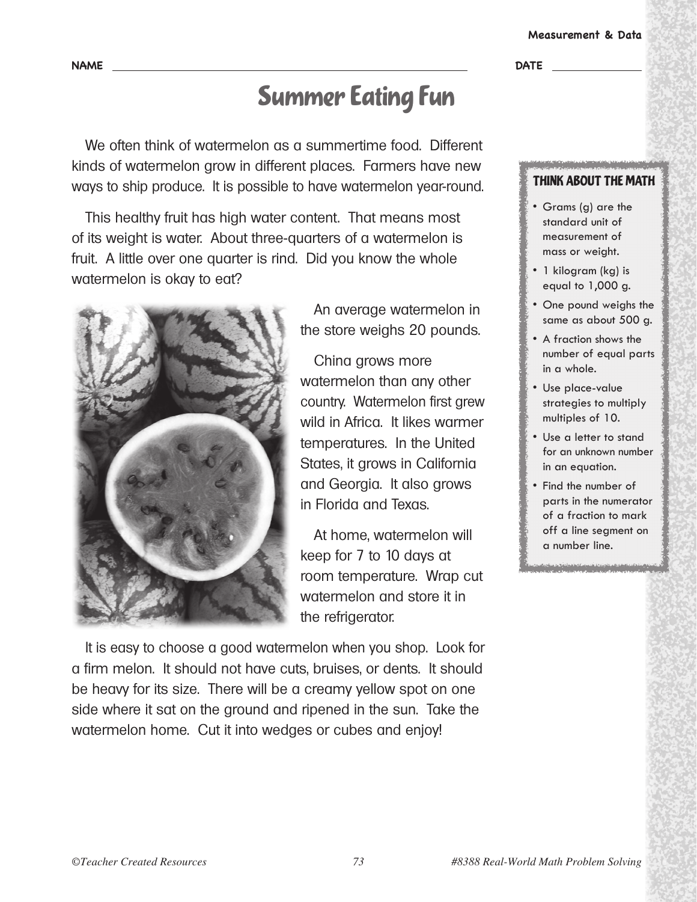### **Measurement & Data**

## Summer Eating Fun

We often think of watermelon as a summertime food. Different kinds of watermelon grow in different places. Farmers have new ways to ship produce. It is possible to have watermelon year-round.

This healthy fruit has high water content. That means most of its weight is water. About three-quarters of a watermelon is fruit. A little over one quarter is rind. Did you know the whole watermelon is okay to eat?



An average watermelon in the store weighs 20 pounds.

China grows more watermelon than any other country. Watermelon first grew wild in Africa. It likes warmer temperatures. In the United States, it grows in California and Georgia. It also grows in Florida and Texas.

At home, watermelon will keep for 7 to 10 days at room temperature. Wrap cut watermelon and store it in the refrigerator.

It is easy to choose a good watermelon when you shop. Look for a firm melon. It should not have cuts, bruises, or dents. It should be heavy for its size. There will be a creamy yellow spot on one side where it sat on the ground and ripened in the sun. Take the watermelon home. Cut it into wedges or cubes and enjoy!

## THINK ABOUT THE MATH

- Grams (g) are the standard unit of measurement of mass or weight.
- 1 kilogram (kg) is equal to 1,000 g.
- One pound weighs the same as about 500 g.
- A fraction shows the number of equal parts in a whole.
- Use place-value strategies to multiply multiples of 10.
- Use a letter to stand for an unknown number in an equation.
- Find the number of parts in the numerator of a fraction to mark off a line segment on a number line.

a bara a da bara a bara a bara a bara a bara a bara a bara a bara a bara a bara a bara a bara a bara a bara a<br>Bara a bara a bara a bara a bara a bara a bara a bara a bara a bara a bara a bara a bara a bara a bara a bara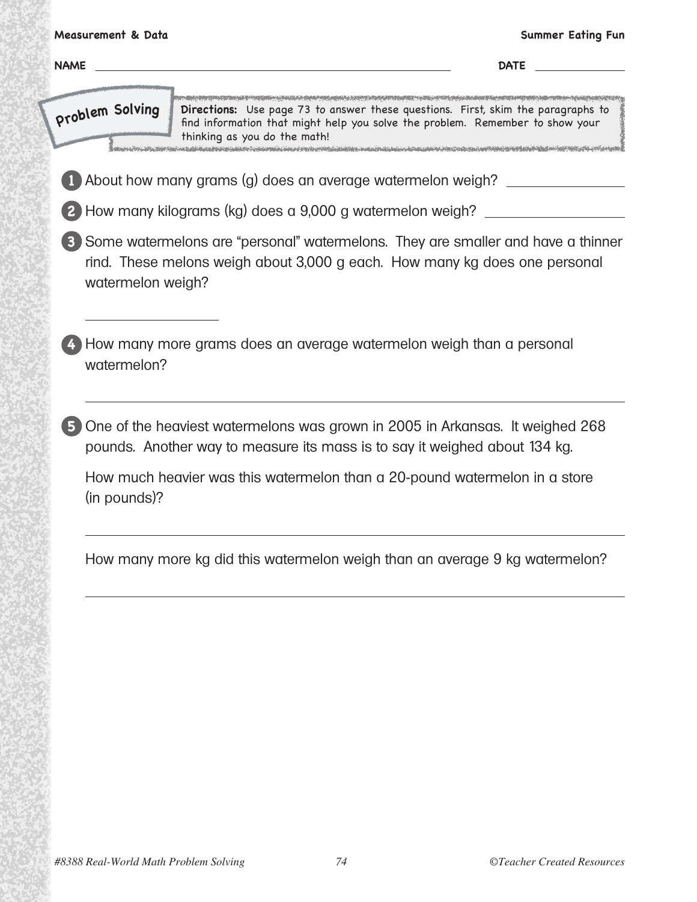| <b>NAME</b>       |                                                                                                                                                                                                   | <b>Summer Eating Fun</b><br><b>DATE Example 2</b> |
|-------------------|---------------------------------------------------------------------------------------------------------------------------------------------------------------------------------------------------|---------------------------------------------------|
| problem Solving   | Directions: Use page 73 to answer these questions. First, skim the paragraphs to<br>find information that might help you solve the problem. Remember to show your<br>thinking as you do the math! |                                                   |
|                   | About how many grams (g) does an average watermelon weigh? _____________________                                                                                                                  |                                                   |
|                   | How many kilograms (kg) does a 9,000 g watermelon weigh? ____                                                                                                                                     |                                                   |
| watermelon weigh? | Some watermelons are "personal" watermelons. They are smaller and have a thinner<br>rind. These melons weigh about 3,000 g each. How many kg does one personal                                    |                                                   |
| watermelon?       | How many more grams does an average watermelon weigh than a personal                                                                                                                              |                                                   |
|                   | One of the heaviest watermelons was grown in 2005 in Arkansas. It weighed 268<br>pounds. Another way to measure its mass is to say it weighed about 134 kg.                                       |                                                   |
| (in pounds)?      | How much heavier was this watermelon than a 20-pound watermelon in a store                                                                                                                        |                                                   |
|                   |                                                                                                                                                                                                   |                                                   |